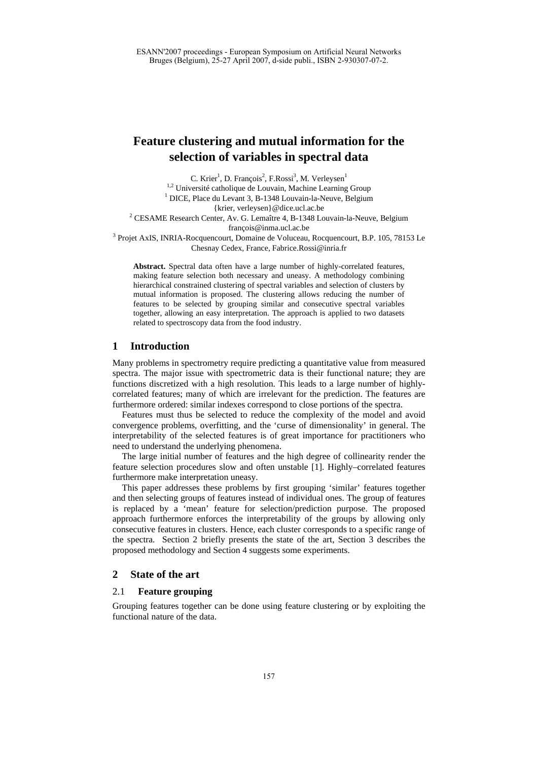# **Feature clustering and mutual information for the selection of variables in spectral data**

C. Krier<sup>1</sup>, D. François<sup>2</sup>, F.Rossi<sup>3</sup>, M. Verleysen<sup>1</sup> <sup>1,2</sup> Université catholique de Louvain, Machine Learning Group DICE, Place du Levant 3, B-1348 Louvain-la-Neuve, Belgium {krier, verleysen}@dice.ucl.ac.be 2 CESAME Research Center, Av. G. Lemaître 4, B-1348 Louvain-la-Neuve, Belgium françois @inma.ucl.ac.be<br>3 Projet AxIS, INRIA-Rocquencourt, Domaine de Voluceau, Rocquencourt, B.P. 105, 78153 Le Chesnay Cedex, France, [Fabrice.Rossi@inria.fr](mailto:Fabrice.Rossi@inria.fr)

**Abstract.** Spectral data often have a large number of highly-correlated features, making feature selection both necessary and uneasy. A methodology combining hierarchical constrained clustering of spectral variables and selection of clusters by mutual information is proposed. The clustering allows reducing the number of features to be selected by grouping similar and consecutive spectral variables together, allowing an easy interpretation. The approach is applied to two datasets related to spectroscopy data from the food industry.

# **1 Introduction**

Many problems in spectrometry require predicting a quantitative value from measured spectra. The major issue with spectrometric data is their functional nature; they are functions discretized with a high resolution. This leads to a large number of highlycorrelated features; many of which are irrelevant for the prediction. The features are furthermore ordered: similar indexes correspond to close portions of the spectra.

Features must thus be selected to reduce the complexity of the model and avoid convergence problems, overfitting, and the 'curse of dimensionality' in general. The interpretability of the selected features is of great importance for practitioners who need to understand the underlying phenomena.

The large initial number of features and the high degree of collinearity render the feature selection procedures slow and often unstable [1]. Highly–correlated features furthermore make interpretation uneasy.

This paper addresses these problems by first grouping 'similar' features together and then selecting groups of features instead of individual ones. The group of features is replaced by a 'mean' feature for selection/prediction purpose. The proposed approach furthermore enforces the interpretability of the groups by allowing only consecutive features in clusters. Hence, each cluster corresponds to a specific range of the spectra. Section 2 briefly presents the state of the art, Section 3 describes the proposed methodology and Section 4 suggests some experiments.

## **2 State of the art**

# 2.1 **Feature grouping**

Grouping features together can be done using feature clustering or by exploiting the functional nature of the data.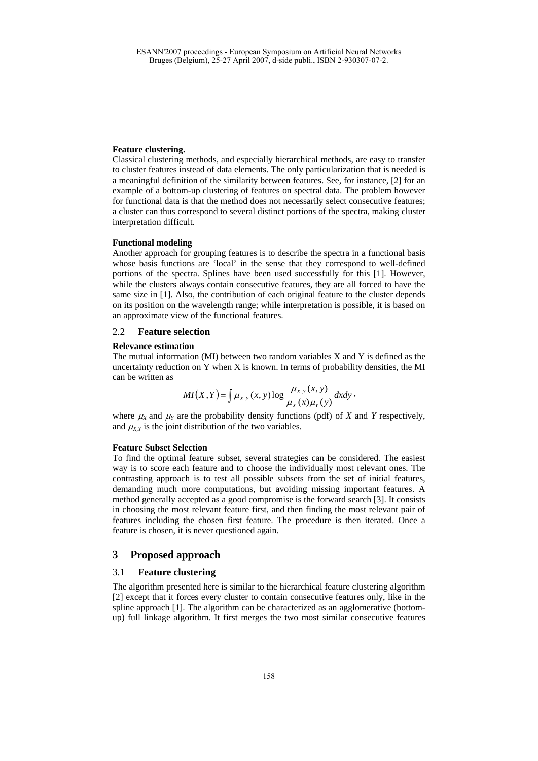#### **Feature clustering.**

Classical clustering methods, and especially hierarchical methods, are easy to transfer to cluster features instead of data elements. The only particularization that is needed is a meaningful definition of the similarity between features. See, for instance, [2] for an example of a bottom-up clustering of features on spectral data. The problem however for functional data is that the method does not necessarily select consecutive features; a cluster can thus correspond to several distinct portions of the spectra, making cluster interpretation difficult.

#### **Functional modeling**

Another approach for grouping features is to describe the spectra in a functional basis whose basis functions are 'local' in the sense that they correspond to well-defined portions of the spectra. Splines have been used successfully for this [1]. However, while the clusters always contain consecutive features, they are all forced to have the same size in [1]. Also, the contribution of each original feature to the cluster depends on its position on the wavelength range; while interpretation is possible, it is based on an approximate view of the functional features.

## 2.2 **Feature selection**

#### **Relevance estimation**

The mutual information (MI) between two random variables X and Y is defined as the uncertainty reduction on Y when X is known. In terms of probability densities, the MI can be written as

$$
MI(X,Y) = \int \mu_{X,Y}(x,y) \log \frac{\mu_{X,Y}(x,y)}{\mu_X(x)\mu_Y(y)} dxdy,
$$

where  $\mu_X$  and  $\mu_Y$  are the probability density functions (pdf) of *X* and *Y* respectively, and  $\mu_{X,Y}$  is the joint distribution of the two variables.

#### **Feature Subset Selection**

To find the optimal feature subset, several strategies can be considered. The easiest way is to score each feature and to choose the individually most relevant ones. The contrasting approach is to test all possible subsets from the set of initial features, demanding much more computations, but avoiding missing important features. A method generally accepted as a good compromise is the forward search [3]. It consists in choosing the most relevant feature first, and then finding the most relevant pair of features including the chosen first feature. The procedure is then iterated. Once a feature is chosen, it is never questioned again.

### **3 Proposed approach**

## 3.1 **Feature clustering**

The algorithm presented here is similar to the hierarchical feature clustering algorithm [2] except that it forces every cluster to contain consecutive features only, like in the spline approach [1]. The algorithm can be characterized as an agglomerative (bottomup) full linkage algorithm. It first merges the two most similar consecutive features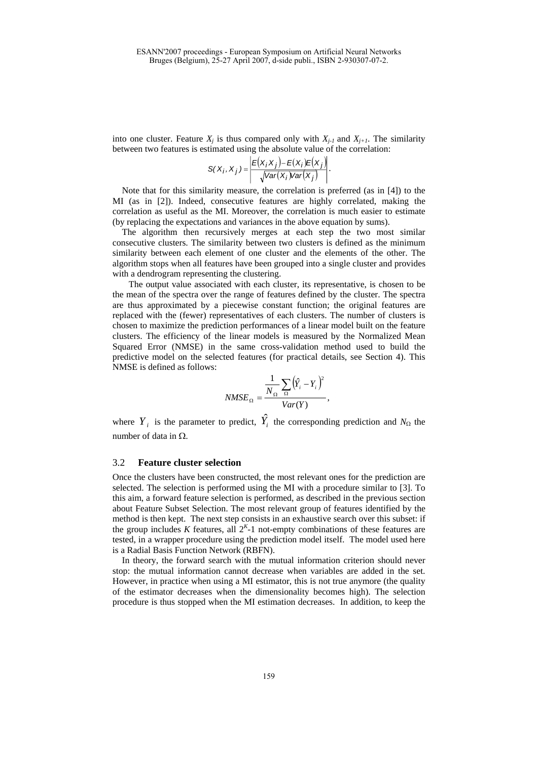into one cluster. Feature  $X_i$  is thus compared only with  $X_{i-1}$  and  $X_{i+1}$ . The similarity between two features is estimated using the absolute value of the correlation:

$$
S(X_i, X_j) = \left| \frac{E(X_i, X_j) - E(X_i)E(X_j)}{\sqrt{Var(X_i)Var(X_j)}} \right|.
$$

Note that for this similarity measure, the correlation is preferred (as in [4]) to the MI (as in [2]). Indeed, consecutive features are highly correlated, making the correlation as useful as the MI. Moreover, the correlation is much easier to estimate (by replacing the expectations and variances in the above equation by sums).

The algorithm then recursively merges at each step the two most similar consecutive clusters. The similarity between two clusters is defined as the minimum similarity between each element of one cluster and the elements of the other. The algorithm stops when all features have been grouped into a single cluster and provides with a dendrogram representing the clustering.

The output value associated with each cluster, its representative, is chosen to be the mean of the spectra over the range of features defined by the cluster. The spectra are thus approximated by a piecewise constant function; the original features are replaced with the (fewer) representatives of each clusters. The number of clusters is chosen to maximize the prediction performances of a linear model built on the feature clusters. The efficiency of the linear models is measured by the Normalized Mean Squared Error (NMSE) in the same cross-validation method used to build the predictive model on the selected features (for practical details, see Section 4). This NMSE is defined as follows:

$$
NMSE_{\Omega} = \frac{\frac{1}{N_{\Omega}} \sum_{\Omega} (\hat{Y}_i - Y_i)^2}{Var(Y)},
$$

where  $Y_i$  is the parameter to predict,  $\hat{Y}_i$  the corresponding prediction and  $N_{\Omega}$  the number of data in Ω.

#### 3.2 **Feature cluster selection**

Once the clusters have been constructed, the most relevant ones for the prediction are selected. The selection is performed using the MI with a procedure similar to [3]. To this aim, a forward feature selection is performed, as described in the previous section about Feature Subset Selection. The most relevant group of features identified by the method is then kept. The next step consists in an exhaustive search over this subset: if the group includes *K* features, all  $2<sup>K</sup>$ -1 not-empty combinations of these features are tested, in a wrapper procedure using the prediction model itself. The model used here is a Radial Basis Function Network (RBFN).

In theory, the forward search with the mutual information criterion should never stop: the mutual information cannot decrease when variables are added in the set. However, in practice when using a MI estimator, this is not true anymore (the quality of the estimator decreases when the dimensionality becomes high). The selection procedure is thus stopped when the MI estimation decreases. In addition, to keep the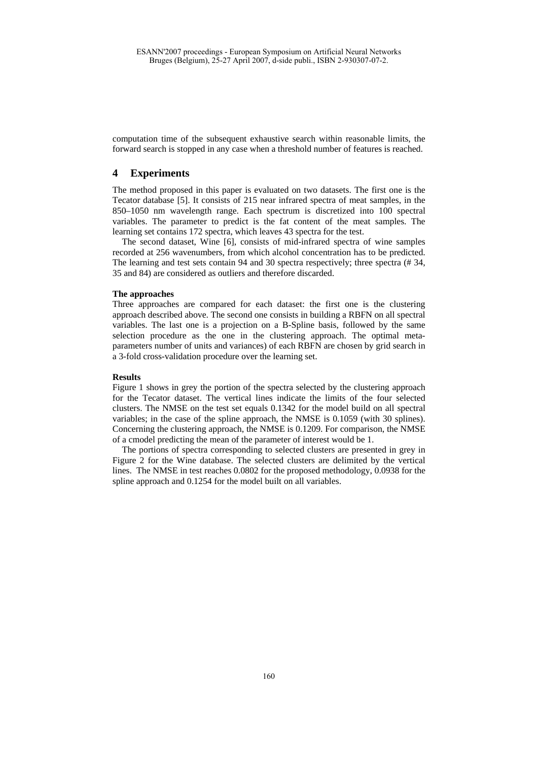computation time of the subsequent exhaustive search within reasonable limits, the forward search is stopped in any case when a threshold number of features is reached.

# **4 Experiments**

The method proposed in this paper is evaluated on two datasets. The first one is the Tecator database [5]. It consists of 215 near infrared spectra of meat samples, in the 850–1050 nm wavelength range. Each spectrum is discretized into 100 spectral variables. The parameter to predict is the fat content of the meat samples. The learning set contains 172 spectra, which leaves 43 spectra for the test.

The second dataset, Wine [6], consists of mid-infrared spectra of wine samples recorded at 256 wavenumbers, from which alcohol concentration has to be predicted. The learning and test sets contain 94 and 30 spectra respectively; three spectra (# 34, 35 and 84) are considered as outliers and therefore discarded.

#### **The approaches**

Three approaches are compared for each dataset: the first one is the clustering approach described above. The second one consists in building a RBFN on all spectral variables. The last one is a projection on a B-Spline basis, followed by the same selection procedure as the one in the clustering approach. The optimal metaparameters number of units and variances) of each RBFN are chosen by grid search in a 3-fold cross-validation procedure over the learning set.

#### **Results**

Figure 1 shows in grey the portion of the spectra selected by the clustering approach for the Tecator dataset. The vertical lines indicate the limits of the four selected clusters. The NMSE on the test set equals 0.1342 for the model build on all spectral variables; in the case of the spline approach, the NMSE is 0.1059 (with 30 splines). Concerning the clustering approach, the NMSE is 0.1209. For comparison, the NMSE of a cmodel predicting the mean of the parameter of interest would be 1.

The portions of spectra corresponding to selected clusters are presented in grey in Figure 2 for the Wine database. The selected clusters are delimited by the vertical lines. The NMSE in test reaches 0.0802 for the proposed methodology, 0.0938 for the spline approach and 0.1254 for the model built on all variables.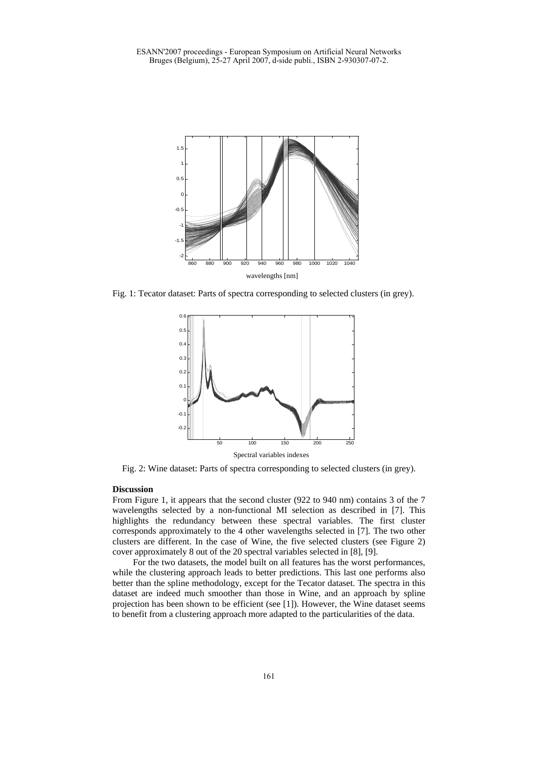

Fig. 1: Tecator dataset: Parts of spectra corresponding to selected clusters (in grey).



Fig. 2: Wine dataset: Parts of spectra corresponding to selected clusters (in grey).

### **Discussion**

From Figure 1, it appears that the second cluster (922 to 940 nm) contains 3 of the 7 wavelengths selected by a non-functional MI selection as described in [7]. This highlights the redundancy between these spectral variables. The first cluster corresponds approximately to the 4 other wavelengths selected in [7]. The two other clusters are different. In the case of Wine, the five selected clusters (see Figure 2) cover approximately 8 out of the 20 spectral variables selected in [8], [9].

 For the two datasets, the model built on all features has the worst performances, while the clustering approach leads to better predictions. This last one performs also better than the spline methodology, except for the Tecator dataset. The spectra in this dataset are indeed much smoother than those in Wine, and an approach by spline projection has been shown to be efficient (see [1]). However, the Wine dataset seems to benefit from a clustering approach more adapted to the particularities of the data.